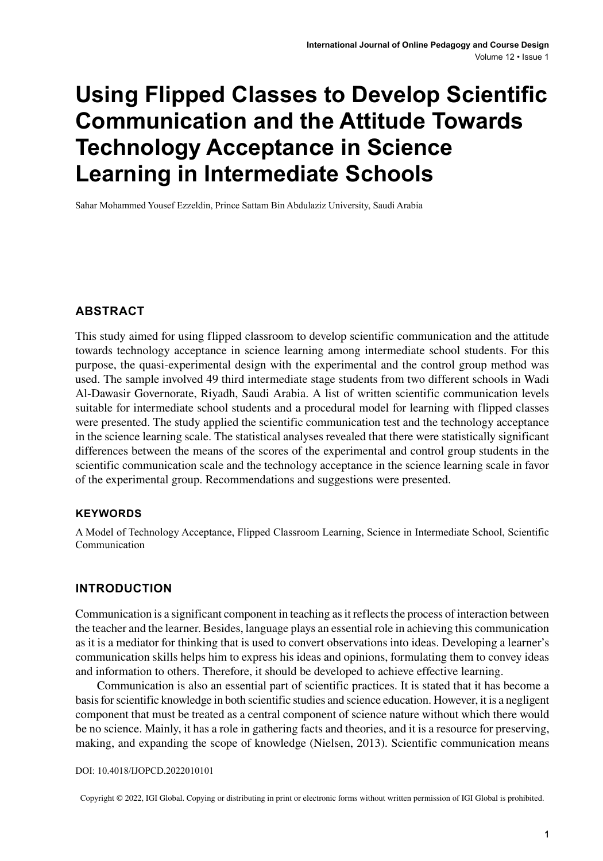# **Using Flipped Classes to Develop Scientific Communication and the Attitude Towards Technology Acceptance in Science Learning in Intermediate Schools**

Sahar Mohammed Yousef Ezzeldin, Prince Sattam Bin Abdulaziz University, Saudi Arabia

## **ABSTRACT**

This study aimed for using flipped classroom to develop scientific communication and the attitude towards technology acceptance in science learning among intermediate school students. For this purpose, the quasi-experimental design with the experimental and the control group method was used. The sample involved 49 third intermediate stage students from two different schools in Wadi Al-Dawasir Governorate, Riyadh, Saudi Arabia. A list of written scientific communication levels suitable for intermediate school students and a procedural model for learning with flipped classes were presented. The study applied the scientific communication test and the technology acceptance in the science learning scale. The statistical analyses revealed that there were statistically significant differences between the means of the scores of the experimental and control group students in the scientific communication scale and the technology acceptance in the science learning scale in favor of the experimental group. Recommendations and suggestions were presented.

#### **Keywords**

A Model of Technology Acceptance, Flipped Classroom Learning, Science in Intermediate School, Scientific Communication

## **INTRODUCTION**

Communication is a significant component in teaching asit reflectsthe process of interaction between the teacher and the learner. Besides, language plays an essential role in achieving this communication as it is a mediator for thinking that is used to convert observations into ideas. Developing a learner's communication skills helps him to express his ideas and opinions, formulating them to convey ideas and information to others. Therefore, it should be developed to achieve effective learning.

Communication is also an essential part of scientific practices. It is stated that it has become a basisforscientific knowledge in both scientific studies and science education. However, it is a negligent component that must be treated as a central component of science nature without which there would be no science. Mainly, it has a role in gathering facts and theories, and it is a resource for preserving, making, and expanding the scope of knowledge (Nielsen, 2013). Scientific communication means

#### DOI: 10.4018/IJOPCD.2022010101

Copyright © 2022, IGI Global. Copying or distributing in print or electronic forms without written permission of IGI Global is prohibited.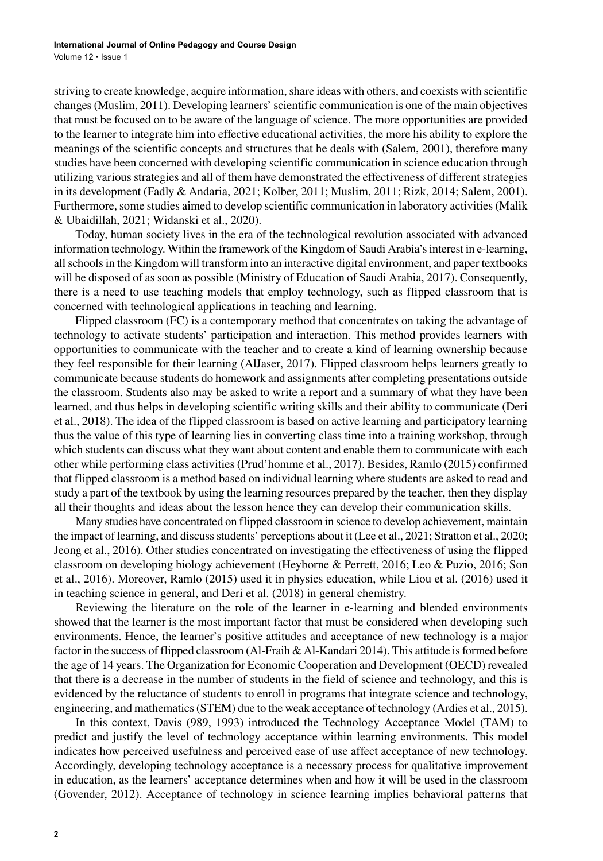striving to create knowledge, acquire information, share ideas with others, and coexists with scientific changes(Muslim, 2011). Developing learners'scientific communication is one of the main objectives that must be focused on to be aware of the language of science. The more opportunities are provided to the learner to integrate him into effective educational activities, the more his ability to explore the meanings of the scientific concepts and structures that he deals with (Salem, 2001), therefore many studies have been concerned with developing scientific communication in science education through utilizing various strategies and all of them have demonstrated the effectiveness of different strategies in its development (Fadly & Andaria, 2021; Kolber, 2011; Muslim, 2011; Rizk, 2014; Salem, 2001). Furthermore, some studies aimed to develop scientific communication in laboratory activities (Malik & Ubaidillah, 2021; Widanski et al., 2020).

Today, human society lives in the era of the technological revolution associated with advanced information technology. Within the framework of the Kingdom of Saudi Arabia'sinterest in e-learning, all schools in the Kingdom will transform into an interactive digital environment, and paper textbooks will be disposed of as soon as possible (Ministry of Education of Saudi Arabia, 2017). Consequently, there is a need to use teaching models that employ technology, such as flipped classroom that is concerned with technological applications in teaching and learning.

Flipped classroom (FC) is a contemporary method that concentrates on taking the advantage of technology to activate students' participation and interaction. This method provides learners with opportunities to communicate with the teacher and to create a kind of learning ownership because they feel responsible for their learning (AlJaser, 2017). Flipped classroom helps learners greatly to communicate because students do homework and assignments after completing presentations outside the classroom. Students also may be asked to write a report and a summary of what they have been learned, and thus helps in developing scientific writing skills and their ability to communicate (Deri et al., 2018). The idea of the flipped classroom is based on active learning and participatory learning thus the value of this type of learning lies in converting class time into a training workshop, through which students can discuss what they want about content and enable them to communicate with each other while performing class activities(Prud'homme et al., 2017). Besides, Ramlo (2015) confirmed that flipped classroom is a method based on individual learning where students are asked to read and study a part of the textbook by using the learning resources prepared by the teacher, then they display all their thoughts and ideas about the lesson hence they can develop their communication skills.

Many studies have concentrated on flipped classroom in science to develop achievement, maintain the impact of learning, and discussstudents' perceptions about it (Lee et al., 2021; Stratton et al., 2020; Jeong et al., 2016). Other studies concentrated on investigating the effectiveness of using the flipped classroom on developing biology achievement (Heyborne & Perrett, 2016; Leo & Puzio, 2016; Son et al., 2016). Moreover, Ramlo (2015) used it in physics education, while Liou et al. (2016) used it in teaching science in general, and Deri et al. (2018) in general chemistry.

Reviewing the literature on the role of the learner in e-learning and blended environments showed that the learner is the most important factor that must be considered when developing such environments. Hence, the learner's positive attitudes and acceptance of new technology is a major factor in the success of flipped classroom (Al-Fraih & Al-Kandari 2014). This attitude is formed before the age of 14 years. The Organization for Economic Cooperation and Development (OECD) revealed that there is a decrease in the number of students in the field of science and technology, and this is evidenced by the reluctance of students to enroll in programs that integrate science and technology, engineering, and mathematics(STEM) due to the weak acceptance of technology (Ardies et al., 2015).

In this context, Davis (989, 1993) introduced the Technology Acceptance Model (TAM) to predict and justify the level of technology acceptance within learning environments. This model indicates how perceived usefulness and perceived ease of use affect acceptance of new technology. Accordingly, developing technology acceptance is a necessary process for qualitative improvement in education, as the learners' acceptance determines when and how it will be used in the classroom (Govender, 2012). Acceptance of technology in science learning implies behavioral patterns that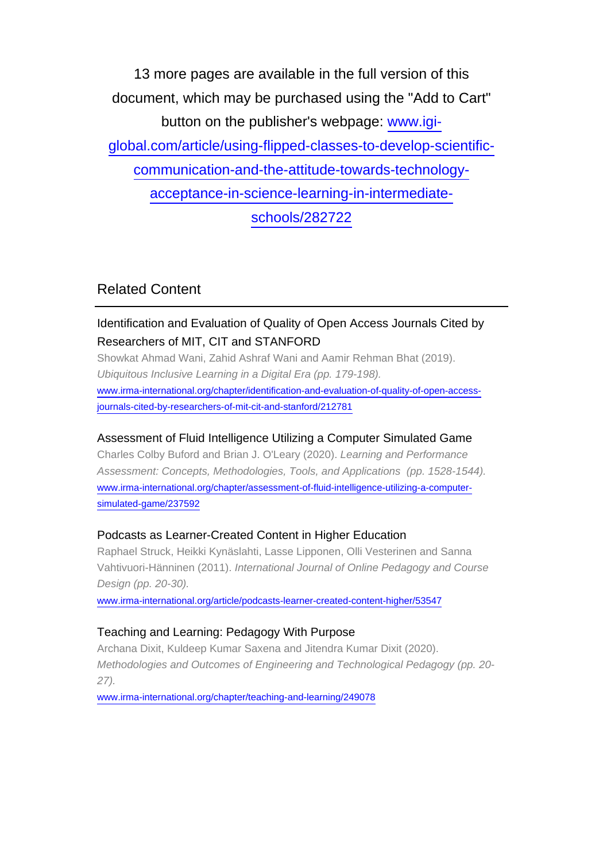13 more pages are available in the full version of this document, which may be purchased using the "Add to Cart" button on the publisher's webpage: [www.igi](http://www.igi-global.com/article/using-flipped-classes-to-develop-scientific-communication-and-the-attitude-towards-technology-acceptance-in-science-learning-in-intermediate-schools/282722)[global.com/article/using-flipped-classes-to-develop-scientific](http://www.igi-global.com/article/using-flipped-classes-to-develop-scientific-communication-and-the-attitude-towards-technology-acceptance-in-science-learning-in-intermediate-schools/282722)[communication-and-the-attitude-towards-technology](http://www.igi-global.com/article/using-flipped-classes-to-develop-scientific-communication-and-the-attitude-towards-technology-acceptance-in-science-learning-in-intermediate-schools/282722)[acceptance-in-science-learning-in-intermediate](http://www.igi-global.com/article/using-flipped-classes-to-develop-scientific-communication-and-the-attitude-towards-technology-acceptance-in-science-learning-in-intermediate-schools/282722)[schools/282722](http://www.igi-global.com/article/using-flipped-classes-to-develop-scientific-communication-and-the-attitude-towards-technology-acceptance-in-science-learning-in-intermediate-schools/282722)

# Related Content

## Identification and Evaluation of Quality of Open Access Journals Cited by Researchers of MIT, CIT and STANFORD

Showkat Ahmad Wani, Zahid Ashraf Wani and Aamir Rehman Bhat (2019). Ubiquitous Inclusive Learning in a Digital Era (pp. 179-198). [www.irma-international.org/chapter/identification-and-evaluation-of-quality-of-open-access](http://www.irma-international.org/chapter/identification-and-evaluation-of-quality-of-open-access-journals-cited-by-researchers-of-mit-cit-and-stanford/212781)[journals-cited-by-researchers-of-mit-cit-and-stanford/212781](http://www.irma-international.org/chapter/identification-and-evaluation-of-quality-of-open-access-journals-cited-by-researchers-of-mit-cit-and-stanford/212781)

## Assessment of Fluid Intelligence Utilizing a Computer Simulated Game

Charles Colby Buford and Brian J. O'Leary (2020). Learning and Performance Assessment: Concepts, Methodologies, Tools, and Applications (pp. 1528-1544). [www.irma-international.org/chapter/assessment-of-fluid-intelligence-utilizing-a-computer](http://www.irma-international.org/chapter/assessment-of-fluid-intelligence-utilizing-a-computer-simulated-game/237592)[simulated-game/237592](http://www.irma-international.org/chapter/assessment-of-fluid-intelligence-utilizing-a-computer-simulated-game/237592)

## Podcasts as Learner-Created Content in Higher Education

Raphael Struck, Heikki Kynäslahti, Lasse Lipponen, Olli Vesterinen and Sanna Vahtivuori-Hänninen (2011). International Journal of Online Pedagogy and Course Design (pp. 20-30).

[www.irma-international.org/article/podcasts-learner-created-content-higher/53547](http://www.irma-international.org/article/podcasts-learner-created-content-higher/53547)

## Teaching and Learning: Pedagogy With Purpose

Archana Dixit, Kuldeep Kumar Saxena and Jitendra Kumar Dixit (2020). Methodologies and Outcomes of Engineering and Technological Pedagogy (pp. 20- 27).

[www.irma-international.org/chapter/teaching-and-learning/249078](http://www.irma-international.org/chapter/teaching-and-learning/249078)